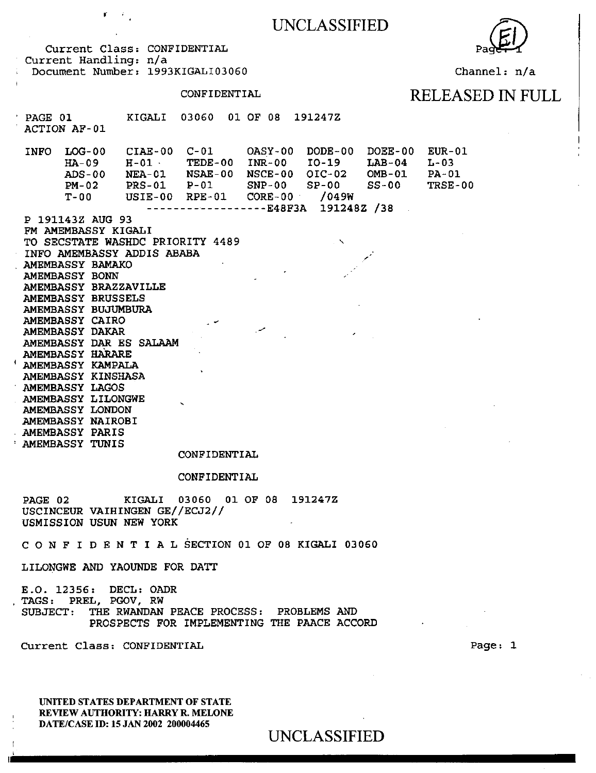

Channel: n/a

Current Class: CONFIDENTIAL Current Handling: n/a Document Number: 1993KIGALI03060

 $\mathbf{r} = r$ 

### CONFIDENTIAL RELEASED IN FULL

#### PAGE 01 ACTION AF- 01 KIGALI 03060 01 OF 08 191247Z

INFO LOG-00 CIAE-00 C-01 OASY-00 DODE-00 DOEE-00 EUR-01 HA-09 H-01 · TEDE-00 INR-00 I0-19 ADS-00 PM-02 T-OO NEA-01 NSAE-00 NSCE-00 OIC-02 PRS-01 P-Ol SNP-00 SP-00 USIE- 00 RPE- 01 CORE- 00 · /049W ------------------E48F3A 191248Z /38  $L$ AB-04 OMB-01  $SS-00$ L-03 PA-01 TRSE-00

P 191143Z AUG 93 FM AMEMBASSY KIGALI TO SECSTATE WASHDC PRIORITY 4489 INFO AMEMBASSY ADDIS ABABA AMEMBASSY BAMAKO AMEMBASSY BONN AMEMBASSY BRAZZAVILLE AMEMBASSY BRUSSELS AMEMBASSY BUJUMBURA AMEMBASSY CAIRO AMEMBASSY DAKAR AMEMBASSY DAR ES SALAAM AMEMBASSY HARARE <sup>1</sup>AMEMBASSY KAMPALA AMEMBASSY KINSHASA AMEMBASSY LAGOS AMEMBASSY LILONGWE AMEMBASSY LONDON AMEMBASSY NAIROBI AMEMBASSY PARIS

AMEMBASSY TUNIS

#### CONFIDENTIAL

#### CONFIDENTIAL

PAGE 02 KIGALI 03060 01 OF 08 191247Z USCINCEUR VAIHINGEN GE//ECJ2// USMISSION USUN NEW YORK

*C* 0 N F I D E N T I A L SECTION 01 OF 08 KIGALI 03060

LILONGWE AND YAOUNDE FOR DATT

E.O. 12356: DECL: OADR<br>TAGS: PREL, PGOV, RW SUBJECT: THE RWANDAN PEACE PROCESS: PROBLEMS AND PROSPECTS FOR IMPLEMENTING THE PAACE ACCORD

Current Class: CONFIDENTIAL

UNITED STATES DEPARTMENT OF STATE REVIEW AUTHORITY: HARRY R. MELONE DATE/CASE ID: 15 JAN 2002 200004465

UNCLASSIFIED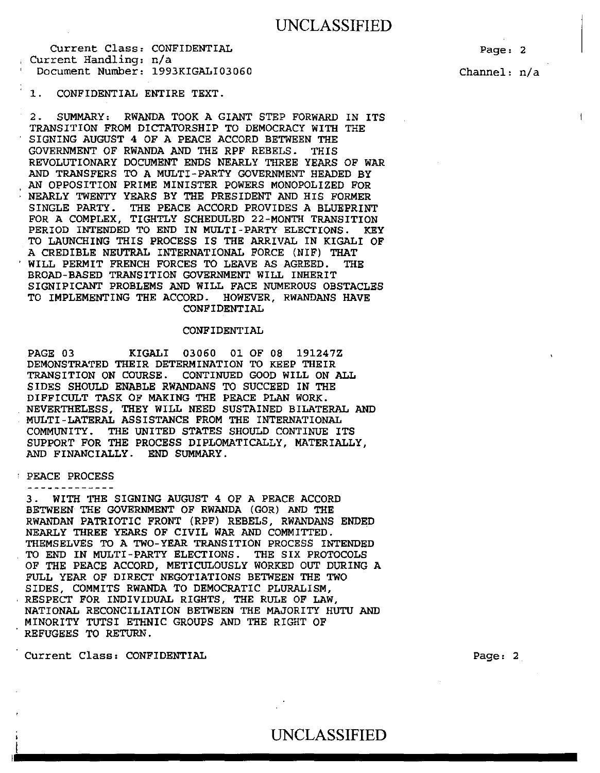Page: 2

Channel: n/a

 $\overline{1}$ 

1. CONFIDENTIAL ENTIRE TEXT.

2. SUMMARY: RWANDA TOOK A GIANT STEP FORWARD IN ITS TRANSITION FROM DICTATORSHIP TO DEMOCRACY WITH THE SIGNING AUGUST 4 OF A PEACE ACCORD BETWEEN THE GOVERNMENT OF RWANDA AND THE RPF REBELS. THIS REVOLUTIONARY DOCUMENT ENDS NEARLY THREE YEARS OF WAR AND TRANSFERS TO A MULTI-PARTY GOVERNMENT HEADED BY AN OPPOSITION PRIME MINISTER POWERS MONOPOLIZED FOR NEARLY TWENTY YEARS BY THE PRESIDENT AND HIS FORMER SINGLE PARTY. THE PEACE ACCORD PROVIDES A BLUEPRINT FOR A COMPLEX, TIGHTLY SCHEDULED 22-MONTH TRANSITION PERIOD INTENDED TO END IN MULTI-PARTY ELECTIONS. KEY TO LAUNCHING THIS PROCESS IS THE ARRIVAL IN KIGALI OF A CREDIBLE NEUTRAL INTERNATIONAL FORCE (NIF) THAT WILL PERMIT FRENCH FORCES TO LEAVE AS AGREED. THE BROAD-BASED TRANSITION GOVERNMENT WILL INHERIT SIGNIFICANT PROBLEMS AND WILL FACE NUMEROUS OBSTACLES TO IMPLEMENTING THE ACCORD. HOWEVER, RWANDANS HAVE CONFIDENTIAL

#### CONFIDENTIAL

PAGE 03 KIGALI 03060 01 OF 08 191247Z DEMONSTRATED THEIR DETERMINATION TO KEEP THEIR TRANSITION ON COURSE. CONTINUED GOOD WILL ON ALL SIDES SHOULD ENABLE RWANDANS TO SUCCEED IN THE DIFFICULT TASK OF MAKING THE PEACE PLAN WORK. NEVERTHELESS, THEY WILL NEED SUSTAINED BILATERAL AND MULTI-LATERAL ASSISTANCE FROM THE INTERNATIONAL COMMUNITY. THE UNITED STATES SHOULD CONTINUE ITS SUPPORT FOR THE PROCESS DIPLOMATICALLY, MATERIALLY, AND FINANCIALLY. END SUMMARY.

#### PEACE PROCESS

-------------

I

3. WITH THE SIGNING AUGUST 4 OF A PEACE ACCORD BETWEEN THE GOVERNMENT OF RWANDA (GOR) AND THE RWANDAN PATRIOTIC FRONT (RPF) REBELS, RWANDANS ENDED NEARLY THREE YEARS OF CIVIL WAR AND COMMITTED. THEMSELVES TO A TWO-YEAR TRANSITION PROCESS INTENDED TO END IN MULTI-PARTY ELECTIONS. THE SIX PROTOCOLS OF THE PEACE ACCORD, METICULOUSLY WORKED OUT DURING A FULL YEAR OF DIRECT NEGOTIATIONS BETWEEN THE TWO SIDES, COMMITS RWANDA TO DEMOCRATIC PLURALISM, RESPECT FOR INDIVIDUAL RIGHTS, THE RULE OF LAW, NATIONAL RECONCILIATION BETWEEN THE MAJORITY HUTU AND MINORITY TUTSI ETHNIC GROUPS AND THE RIGHT OF REFUGEES TO RETURN.

Current Class: CONFIDENTIAL

Page: 2

UNCLASSIFIED UNCLASSIFIED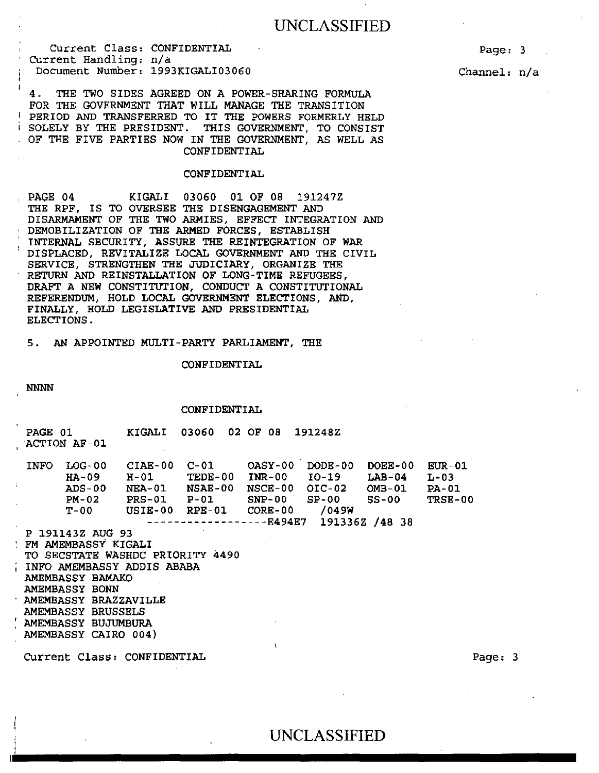Current Class: CONFIDENTIAL Current Handling: n/a Document Number: 1993KIGALI03060

4. THE TWO SIDES AGREED ON A POWER-SHARING FORMULA FOR THE GOVERNMENT THAT WILL MANAGE THE TRANSITION PERIOD AND TRANSFERRED TO IT THE POWERS FORMERLY HELD SOLELY BY THE PRESIDENT. THIS GOVERNMENT, TO CONSIST OF THE FIVE PARTIES NOW IN THE GOVERNMENT, AS WELL AS CONFIDENTIAL

#### CONFIDENTIAL

PAGE 04 KIGALI 03060 01 OF 08 191247Z THE RPF, IS TO OVERSEE THE DISENGAGEMENT AND DISARMAMENT OF THE TWO ARMIES, EFFECT INTEGRATION AND DEMOBILIZATION OF THE ARMED FORCES, ESTABLISH INTERNAL SECURITY, ASSURE THE REINTEGRATION OF WAR DISPLACED, REVITALIZE LOCAL GOVERNMENT AND THE CIVIL SERVICE, STRENGTHEN THE JUDICIARY, ORGANIZE THE RETURN AND REINSTALLATION OF LONG-TIME REFUGEES, DRAFT A NEW CONSTITUTION, CONDUCT A CONSTITUTIONAL REFERENDUM, HOLD LOCAL GOVERNMENT ELECTIONS, AND, FINALLY, HOLD LEGISLATIVE AND PRESIDENTIAL ELECTIONS.

5. AN APPOINTED MULTI -PARTY PARLIAMENT, THE

#### CONFIDENTIAL

NNNN

CONFIDENTIAL

|        | PAGE 01     | ACTION AF-01                                                    | KIGALI 03060 02 OF 08                                                     |  |                | 191248Z                    |                                                                   |                                           |
|--------|-------------|-----------------------------------------------------------------|---------------------------------------------------------------------------|--|----------------|----------------------------|-------------------------------------------------------------------|-------------------------------------------|
| $\sim$ | <b>INFO</b> | $LOG-00$<br>HA-09                                               | $H-01$ TEDE-00<br>ADS-00 NEA-01 NSAE-00<br>PM-02 PRS-01 P-01 SNP-00 SP-00 |  | <b>NSCE-00</b> | INR-00 IO-19               | DOEE-00<br>$L$ AB-04<br>$OIC-02$ $OMB-01$ $PA-01$<br><b>SS-00</b> | <b>EUR-01</b><br>$L-03$<br><b>TRSE-00</b> |
|        |             |                                                                 |                                                                           |  |                | $---E494E7$ 191336Z /48 38 |                                                                   |                                           |
|        |             | P 191143Z AUG 93                                                |                                                                           |  |                |                            |                                                                   |                                           |
|        |             | <b>TEM AMEMBASSY KIGALI</b><br>TO SECSTATE WASHDC PRIORITY 4490 |                                                                           |  |                |                            |                                                                   |                                           |
|        |             | INFO AMEMBASSY ADDIS ABABA                                      |                                                                           |  |                |                            |                                                                   |                                           |
|        |             | AMEMBASSY BAMAKO<br>AMEMBASSY BONN                              |                                                                           |  |                |                            |                                                                   |                                           |
|        |             | AMEMBASSY BRAZZAVILLE                                           |                                                                           |  |                |                            |                                                                   |                                           |
|        |             | AMEMBASSY BRUSSELS                                              |                                                                           |  |                |                            |                                                                   |                                           |
|        |             | AMEMBASSY BUJUMBURA                                             |                                                                           |  |                |                            |                                                                   |                                           |
|        |             | AMEMBASSY CAIRO 004)                                            |                                                                           |  | $\mathfrak{r}$ |                            |                                                                   |                                           |
|        |             | Current Class: CONFIDENTIAL                                     |                                                                           |  |                |                            |                                                                   |                                           |

Page: 3

Channel: n/a

Page: 3

# <sup>I</sup>UNCLASSIFIED ~-~ .............................................. ..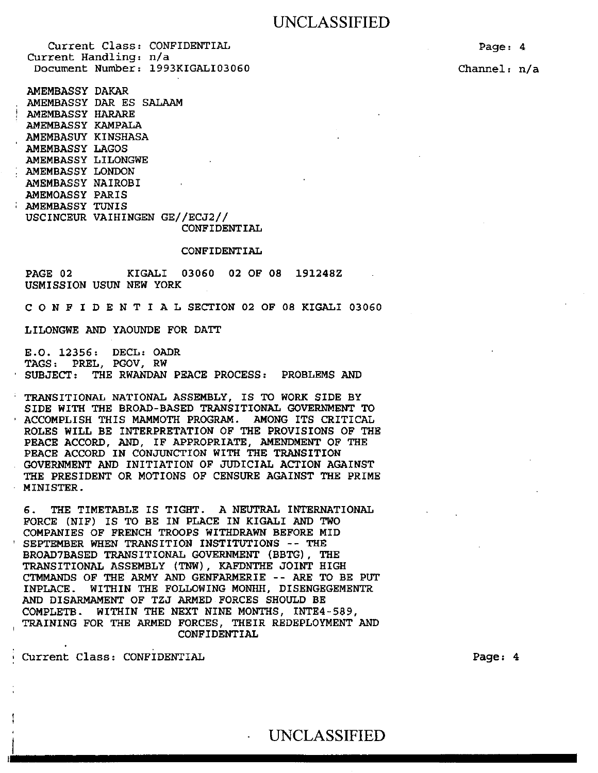Current Class: CONFIDENTIAL Current Handling: n/a Document Number: 1993KIGALI03060

AMEMBASSY DAKAR AMEMBASSY DAR ES SALAAM AMEMBASSY HARARE AMEMBASSY KAMPALA AMEMBASUY KINSHASA AMEMBASSY LAGOS AMEMBASSY LILONGWE AMEMBASSY LONDON AMEMBASSY NAIROBI AMEMOASSY PARIS AMEMBASSY TUNIS USCINCEUR VAIHINGEN GE//ECJ2//

### CONFIDENTIAL CONFIDENTIAL

PAGE 02 KIGALI 03060 02 OF 08 191248Z USMISSION USUN NEW YORK

C 0 N F I D E N T I A L SECTION 02 OF 08 KIGALI 03060

LILONGWE AND YAOUNDE FOR DATT

E.O. 12356: DECL: OADR TAGS: PREL, PGOV, RW SUBJECT: THE RWANDAN PEACE PROCESS: PROBLEMS AND

TRANSITIONAL NATIONAL ASSEMBLY, IS TO WORK SIDE BY SIDE WITH THE BROAD-BASED TRANSITIONAL GOVERNMENT TO ACCOMPLISH THIS MAMMOTH PROGRAM. AMONG ITS CRITICAL ROLES WILL BE INTERPRETATION OF THE PROVISIONS OF THE PEACE ACCORD, AND, IF APPROPRIATE, AMENDMENT OF THE PEACE ACCORD IN CONJUNCTION WITH THE TRANSITION GOVERNMENT AND INITIATION OF JUDICIAL ACTION AGAINST THE PRESIDENT OR MOTIONS OF CENSURE AGAINST THE PRIME MINISTER.

6. THE TIMETABLE IS TIGHT. A NEUTRAL INTERNATIONAL FORCE (NIF) IS TO BE IN PLACE IN KIGALI AND TWO COMPANIES OF FRENCH TROOPS WITHDRAWN BEFORE MID SEPTEMBER WHEN TRANSITION INSTITUTIONS -- THE BROAD7BASED TRANSITIONAL GOVERNMENT (BBTG) , THE TRANSITIONAL ASSEMBLY (TNW), KAFDNTHE JOINT HIGH CTMMANDS OF THE ARMY AND GENFARMERIE -- ARE TO BE PUT INPLACE. WITHIN THE FOLLOWING MONHH, DISENGEGEMENTR AND DISARMAMENT OF TZJ ARMED FORCES SHOULD BE COMPLETB. WITHIN THE NEXT NINE MONTHS, INTE4-589, TRAINING FOR THE ARMED FORCES, THEIR REDEPLOYMENT AND CONFIDENTIAL

Current Class: CONFIDENTIAL

Page: 4

Channel: n/a

Page: 4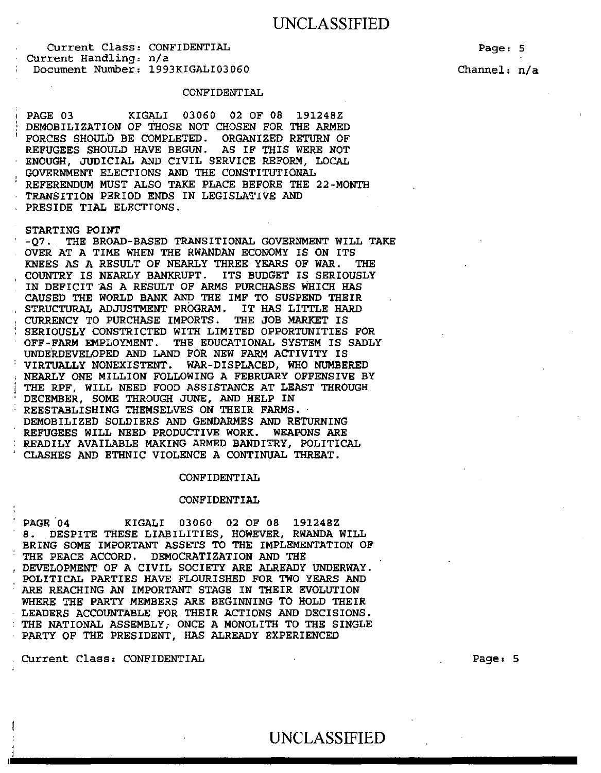Page: 5 Channel: n/a

#### CONFIDENTIAL

PAGE 03 KIGALI 03060 02 OF 08 191248Z DEMOBILIZATION OF THOSE NOT CHOSEN FOR THE ARMED FORCES SHOULD BE COMPLETED. ORGANIZED RETURN OF REFUGEES SHOULD HAVE BEGUN. AS IF THIS WERE NOT REFUGEES SHOULD HAVE BEGUN. ENOUGH, JUDICIAL AND CIVIL SERVICE REFORM, LOCAL GOVERNMENT ELECTIONS AND THE CONSTITUTIONAL REFERENDUM MUST ALSO TAKE PLACE BEFORE THE 22-MONTH TRANSITION PERIOD ENDS IN LEGISLATIVE AND PRESIDE TIAL ELECTIONS.

STARTING POINT<br>-07. THE BROA THE BROAD-BASED TRANSITIONAL GOVERNMENT WILL TAKE OVER AT A TIME WHEN THE RWANDAN ECONOMY IS ON ITS KNEES AS A RESULT OF NEARLY THREE YEARS OF WAR. THE COUNTRY IS NEARLY BANKRUPT. ITS BUDGET IS SERIOUSLY IN DEFICIT *AS* A RESULT OF ARMS PURCHASES WHICH HAS CAUSED THE WORLD BANK AND THE IMF TO SUSPEND THEIR STRUCTURAL ADJUSTMENT PROGRAM. IT HAS LITTLE HARD<br>CURRENCY TO PURCHASE IMPORTS. THE JOB MARKET IS CURRENCY TO PURCHASE IMPORTS. SERIOUSLY CONSTRICTED WITH LIMITED OPPORTUNITIES FOR OFF-FARM EMPLOYMENT. THE EDUCATIONAL SYSTEM IS SADLY UNDERDEVELOPED AND LAND FOR NEW FARM ACTIVITY IS VIRTUALLY NONEXISTENT. WAR-DISPLACED, WHO NUMBERED NEARLY ONE MILLION FOLLOWING A FEBRUARY OFFENSIVE BY THE RPF, WILL NEED FOOD ASSISTANCE AT LEAST THROUGH DECEMBER, SOME THROUGH JUNE, AND HELP IN REESTABLISHING THEMSELVES ON THEIR FARMS. DEMOBILIZED SOLDIERS AND GENDARMES AND RETURNING REFUGEES WILL NEED PRODUCTIVE WORK. WEAPONS ARE READILY AVAILABLE MAKING ARMED BANDITRY, POLITICAL CLASHES AND ETHNIC VIOLENCE A CONTINUAL THREAT.

#### CONFIDENTIAL

#### CONFIDENTIAL

PAGE 04 KIGALI 03060 02 OF 08 191248Z 8. DESPITE THESE LIABILITIES, HOWEVER, RWANDA WILL BRING SOME IMPORTANT ASSETS TO THE IMPLEMENTATION OF THE PEACE ACCORD. DEMOCRATIZATION AND THE DEVELOPMENT OF A CIVIL SOCIETY ARE ALREADY UNDERWAY. POLITICAL PARTIES HAVE FLOURISHED FOR TWO YEARS AND ARE REACHING AN IMPORTANT STAGE IN THEIR EVOLUTION WHERE THE PARTY MEMBERS ARE BEGINNING TO HOLD THEIR LEADERS ACCOUNTABLE FOR THEIR ACTIONS AND DECISIONS. THE NATIONAL ASSEMBLY; ONCE A MONOLITH TO THE SINGLE PARTY OF THE PRESIDENT, HAS ALREADY EXPERIENCED

Current Class: CONFIDENTIAL

I

'<br>L

Page: 5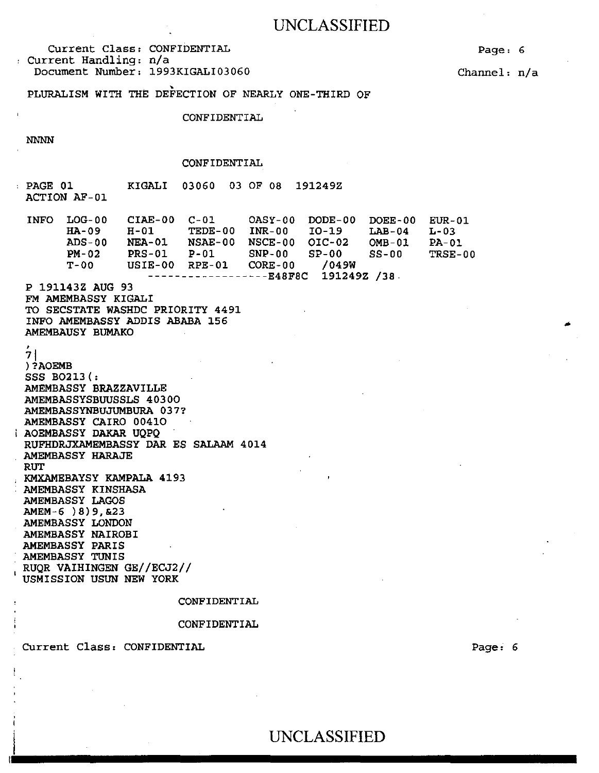Current Class: CONFIDENTIAL Current Handling: n/a Document Number: 1993KIGALI03060

Channel: n/a

Page: 6

PLURALISM WITH THE DEFECTION OF NEARLY ONE-THIRD OF

CONFIDENTIAL

NNNN

#### CONFIDENTIAL

PAGE 01 KIGALI 03060 03 OF 08 191249Z ACTION AF-01

| <b>INFO</b> | LOG-00  | CIAE-00       | $C - 01$                 | OASY-00        | DODE-00     | DOEE-00      | EUR - 01 |
|-------------|---------|---------------|--------------------------|----------------|-------------|--------------|----------|
|             | $HA-09$ | H-01          | <b>TEDE-00</b>           | INR-00         | IO-19       | $LAB-04$     | $L - 03$ |
|             | ADS-00  | <b>NEA-01</b> | NSAE-00                  | NSCE-00 OIC-02 |             | $OMB-01$     | $PA-01$  |
|             | $PM-02$ | $PRS-01$      | P-01                     | SNP-00         | SP-00       | <b>SS-00</b> | TRSE-00  |
|             | T-00    | USIE-00       | RPE-01                   | CORE-00        | /049W       |              |          |
|             |         |               | ------------------E48F8C |                | 191249Z /38 |              |          |

P 191143Z AUG 93 FM AMEMBASSY KIGALI TO SECSTATE WASHDC PRIORITY 4491 INFO AMEMBASSY ADDIS ABABA 156 AMEMBAUSY BUMAKO

 $71$ )?AOEMB SSS B0213 (: AMEMBASSY BRAZZAVILLE AMEMBASSYSBUUSSLS 40300 AMEMBASSYNBUJUMBURA 037? AMEMBASSY CAIRO 00410 AOEMBASSY DAKAR UQPQ RUFHDRJXAMEMBASSY DAR ES SALAAM 4014 AMEMBASSY HARAJE RUT KMXAMEBAYSY KAMPALA 4193 AMEMBASSY KINSHASA AMEMBASSY LAGOS AMEM-6 )8)9,&23 AMEMBASSY LONDON AMEMBASSY NAIROBI AMEMBASSY PARIS AMEMBASSY TUNIS RUQR VAIHINGEN GE//ECJ2// USMISSION USUN NEW YORK

CONFIDENTIAL

#### CONFIDENTIAL

Current Class: CONFIDENTIAL

 $\overline{\phantom{a}}$ 

Page: 6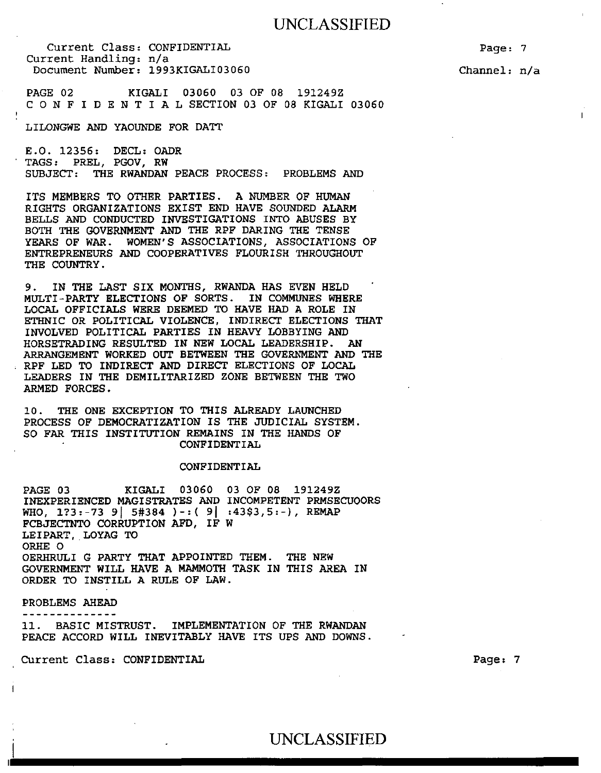Current Class: CONFIDENTIAL Current Handling: n/a Document Number: 1993KIGALI03060

Page: 7 Channel: n/a

 $\mathbf{I}$ 

PAGE 02 KIGALI 03060 03 OF 08 191249Z C 0 N F I D E N T I A L SECTION 03 OF 08 KIGALI 03060

LILONGWE AND YAOUNDE FOR DATT

E.O. 12356: DECL: OADR TAGS: PREL, PGOV, RW SUBJECT: THE RWANDAN PEACE PROCESS: PROBLEMS AND

ITS MEMBERS TO OTHER PARTIES. A NUMBER OF HUMAN RIGHTS ORGANIZATIONS EXIST END HAVE SOUNDED ALARM BELLS AND CONDUCTED INVESTIGATIONS INTO ABUSES BY BOTH THE GOVERNMENT AND THE RPF DARING THE TENSE YEARS OF WAR. WOMEN'S ASSOCIATIONS, ASSOCIATIONS OF ENTREPRENEURS AND COOPERATIVES FLOURISH THROUGHOUT THE COUNTRY .

9. IN THE LAST SIX MONTHS, RWANDA HAS EVEN HELD MULTI-PARTY ELECTIONS OF SORTS. IN COMMUNES WHERE LOCAL OFFICIALS WERE DEEMED TO HAVE HAD A ROLE IN ETHNIC OR POLITICAL VIOLENCE, INDIRECT ELECTIONS THAT INVOLVED POLITICAL PARTIES IN HEAVY LOBBYING AND HORSETRADING RESULTED IN NEW LOCAL LEADERSHIP. AN ARRANGEMENT WORKED OUT BETWEEN THE GOVERNMENT AND THE RPF LED TO INDIRECT AND DIRECT ELECTIONS OF LOCAL LEADERS IN THE DEMILITARIZED ZONE BETWEEN THE TWO ARMED FORCES.

10. THE ONE EXCEPTION TO THIS ALREADY LAUNCHED PROCESS OF DEMOCRATIZATION IS THE JUDICIAL SYSTEM. SO FAR THIS INSTITUTION REMAINS IN THE HANDS OF CONFIDENTIAL

#### CONFIDENTIAL

PAGE 03 KIGALI 03060 03 OF 08 191249Z INEXPERIENCED MAGISTRATES AND INCOMPETENT PRMSECUOORS WHO,  $1?3:-73$  9  $5#384$   $)-:(9$   $:43$3,5:-)$ , REMAP FCBJECTNTO CORRUPTION AFD, IF W LEIPART, LOYAG TO ORHE 0 OERHRULI G PARTY THAT APPOINTED THEM. THE NEW GOVERNMENT WILL HAVE A MAMMOTH TASK IN THIS AREA IN ORDER TO INSTILL A RULE OF LAW.

PROBLEMS AHEAD

--------------11. BASIC MISTRUST. IMPLEMENTATION OF THE RWANDAN PEACE ACCORD WILL INEVITABLY HAVE ITS UPS AND DOWNS.

Current Class: CONFIDENTIAL

Page: 7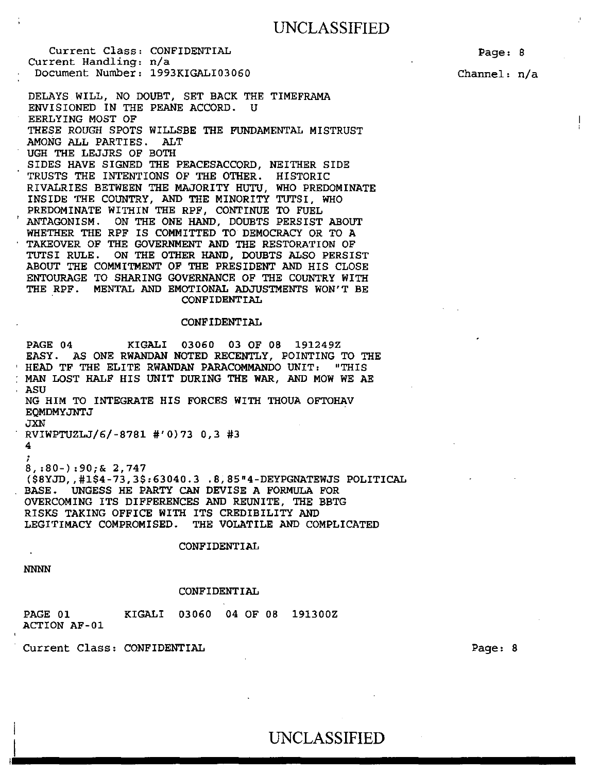Current Class: CONFIDENTIAL CUrrent Handling: n/a Document Number: 1993KIGALI03060

Page: 8

Channel: n/a

DELAYS WILL, NO DOUBT, SET BACK THE TIMEFRAMA ENVISIONED IN THE PEANE ACCORD. U EERLYING MOST OF THESE ROUGH SPOTS WILLSBE THE FUNDAMENTAL MISTRUST AMONG ALL PARTIES. ALT UGH THE LEJJRS OF BOTH SIDES HAVE SIGNED THE PEACESACCORD, NEITHER SIDE TRUSTS THE INTENTIONS OF THE OTHER. HISTORIC RIVALRIES BETWEEN THE MAJORITY HUTU, WHO PREDOMINATE INSIDE THE COUNTRY, AND THE MINORITY TUTSI, WHO PREDOMINATE WITHIN THE RPF, CONTINUE TO FUEL ANTAGONISM. ON THE ONE HAND, DOUBTS PERSIST ABOUT WHETHER THE RPF IS COMMITTED TO DEMOCRACY OR TO A TAKEOVER OF THE GOVERNMENT AND THE RESTORATION OF ON THE OTHER HAND, DOUBTS ALSO PERSIST ABOUT THE COMMITMENT OF THE PRESIDENT AND HIS CLOSE ENTOURAGE TO SHARING GOVERNANCE OF THE COUNTRY WITH THE RPF. MENTAL AND EMOTIONAL ADJUSTMENTS WON'T BE CONFIDENTIAL

#### CONFIDENTIAL

PAGE 04 KIGALI 03060 03 OF 08 191249Z EASY. AS ONE RWANDAN NOTED RECENTLY, POINTING TO THE<br>HEAD TF THE ELITE RWANDAN PARACOMMANDO UNIT: "THIS HEAD TF THE ELITE RWANDAN PARACOMMANDO UNIT: MAN LOST HALF HIS UNIT DURING THE WAR, AND MOW WE AE ASU NG HIM TO INTEGRATE HIS FORCES WITH THOUA OFTOHAV EQMDMYJNTJ JXN RVIWPTUZLJ/6/-8781 #'0)73 0,3 #3 4 ; 8, :80-) :90;& 2, 747 (\$8YJD,,#l\$4-73,3\$:63040.3 .8,85"4-DEYPGNATEWJS POLITICAL BASE. UNGESS HE PARTY CAN DEVISE A FORMULA FOR OVERCOMING ITS DIFFERENCES AND REUNITE, THE BBTG RISKS TAKING OFFICE WITH ITS CREDIBILITY AND LEGITIMACY COMPROMISED. THE VOLATILE AND COMPLICATED

CONFIDENTIAL

NNNN

#### CONFIDENTIAL

| PAGE 01      |  | KIGALI 03060 04 OF 08 191300Z |  |
|--------------|--|-------------------------------|--|
| ACTION AF-01 |  |                               |  |

Current Class: CONFIDENTIAL

Page: 8

### i UNCLASSIFIED

,.1 -----------------------------------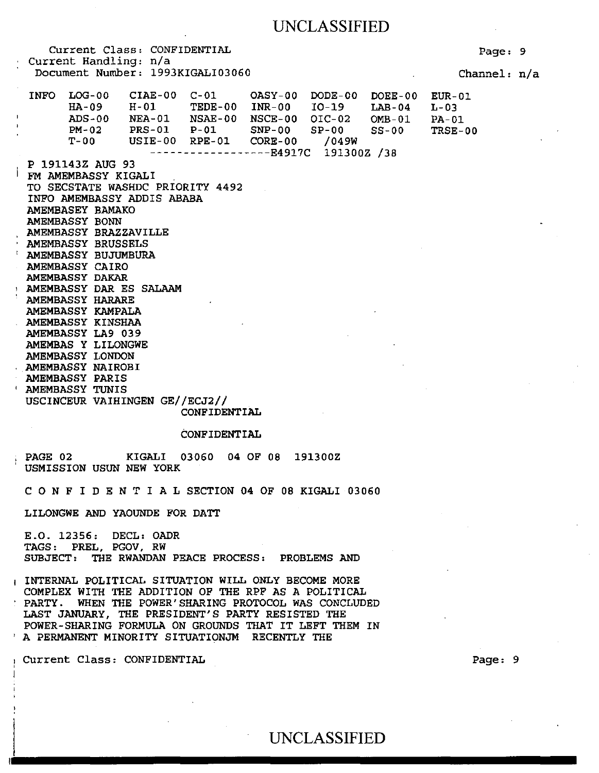Current Class: CONFIDENTIAL Current Handling: n/a Document Number: 1993KIGALI03060 INFO LOG-00 CIAE-00 C-01<br>HA-09 H-01 TEDE-H-01 TEDE-00 INR-00<br>NEA-01 NSAE-00 NSCE-00 NEA-01 NSAE-00 NSCE-00 OIC-02 PRS-01 P-Ol SNP-00 DODE-00 DOEE-00 I0-19 SP-00 LAB-04  $OMB-01$ SS-00 LOG-00 HA-09  $ADS-00$ PM-02<br>T-00  $USIE-00$  RPE-01 ------------------E4917C 191300Z /38 /049W P 191143Z AUG 93 FM AMEMBASSY KIGALI TO SECSTATE WASHDC PRIORITY 4492 INFO AMEMBASSY ADDIS ABABA AMEMBASEY BAMAKO AMEMBASSY BONN AMEMBASSY BRAZZAVILLE AMEMBASSY BRUSSELS<br>AMEMBASSY BUJUMBURA AMEMBASSY CAIRO AMEMBASSY DAKAR 1 AMEMBASSY DAR ES SALAAM AMEMBASSY HARARE AMEMBASSY KAMPALA AMEMBASSY KINSHAA AMEMBASSY LA9 039 AMEMBAS Y LILONGWE AMEMBASSY LONDON AMEMBASSY NAIROBI AMEMBASSY PARIS ' AMEMBASSY TUNIS USCINCEUR VAIHINGEN GE//ECJ2// CONFIDENTIAL CONFIDENTIAL PAGE 02 KIGALI 03060 04 OF 08 191300Z USMISSION USUN NEW YORK *C* 0 N F I D E N T I A L SECTION 04 OF 08 KIGALI 03060 LILONGWE AND YAOUNDE FOR DATT E.O. 12356: DECL: OADR TAGS: PREL, PGOV, RW SUBJECT: THE RWANDAN PEACE PROCESS: PROBLEMS AND 1 INTERNAL POLITICAL SITUATION WILL ONLY BECOME MORE COMPLEX WITH THE ADDITION OF THE RPF AS A POLITICAL Page: 9 Channel: n/a EUR-01 L-03 PA-01 TRSE-00

UNCLASSIFIED

PARTY. WHEN THE POWER' SHARING PROTOCOL WAS CONCLUDED LAST JANUARY, THE PRESIDENT'S PARTY RESISTED THE POWER-SHARING FORMULA ON GROUNDS THAT IT LEFT THEM IN ' A PERMANENT MINORITY SITUATIONJM RECENTLY THE

Current Class: CONFIDENTIAL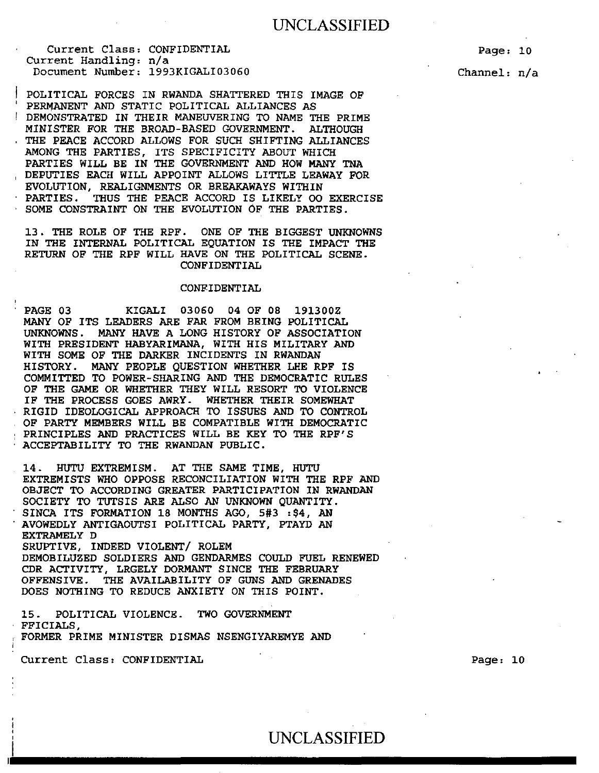Page: 10

Channel: n/a

POLITICAL FORCES IN RWANDA SHATTERED THIS IMAGE OF PERMANENT AND STATIC POLITICAL ALLIANCES AS DEMONSTRATED IN THEIR MANEUVERING TO NAME THE PRIME MINISTER FOR THE BROAD-BASED GOVERNMENT. ALTHOUGH THE PEACE ACCORD ALLOWS FOR SUCH SHIFTING ALLIANCES AMONG THE PARTIES, ITS SPECIFICITY ABOUT WHICH PARTIES WILL BE IN THE GOVERNMENT AND HOW MANY TNA DEPUTIES EACH WILL APPOINT ALLOWS LITTLE LEAWAY FOR EVOLUTION, REALIGNMENTS OR BREAKAWAYS WITHIN PARTIES. THUS THE PEACE ACCORD IS LIKELY 00 EXERCISE SOME CONSTRAINT ON THE EVOLUTION OF THE PARTIES.

13. THE ROLE OF THE RPF. ONE OF THE BIGGEST UNKNOWNS IN THE INTERNAL POLITICAL EQUATION IS THE IMPACT THE RETURN OF THE RPF WILL HAVE ON THE POLITICAL SCENE. CONFIDENTIAL

#### CONFIDENTIAL

PAGE 03 KIGALI 03060 04 OF 08 191300Z MANY OF ITS LEADERS ARE FAR FROM BEING POLITICAL UNKNOWNS. MANY HAVE A LONG HISTORY OF ASSOCIATION WITH PRESIDENT HABYARIMANA, WITH HIS MILITARY AND WITH SOME OF THE DARKER INCIDENTS IN RWANDAN HISTORY. MANY PEOPLE QUESTION WHETHER LHE RPF IS COMMITTED TO POWER-SHARING AND THE DEMOCRATIC RULES OF THE GAME OR WHETHER THEY WILL RESORT TO VIOLENCE IF THE PROCESS GOES AWRY. WHETHER THEIR SOMEWHAT RIGID IDEOLOGICAL APPROACH TO ISSUES AND TO CONTROL OF PARTY MEMBERS WILL BE COMPATIBLE WITH DEMOCRATIC PRINCIPLES AND PRACTICES WILL BE KEY TO THE RPF'S ACCEPTABILITY TO THE RWANDAN PUBLIC.

14. HUTU EXTREMISM. AT THE SAME TIME, HUTU EXTREMISTS WHO OPPOSE RECONCILIATION WITH THE RPF AND OBJECT TO ACCORDING GREATER PARTICIPATION IN RWANDAN SOCIETY TO TUTSIS ARE ALSO AN UNKNOWN QUANTITY. SINCA ITS FORMATION 18 MONTHS AGO, 5#3 :\$4, AN AVOWEDLY ANTIGAOUTSI POLITICAL PARTY, PTAYD AN EXTRAMELY D SRUPTIVE, INDEED VIOLENT/ ROLEM DEMOBILUZED SOLDIERS AND GENDARMES COULD FUEL RENEWED CDR ACTIVITY, LRGELY DORMANT SINCE THE FEBRUARY OFFENSIVE. THE AVAILABILITY OF GUNS AND GRENADES DOES NOTHING TO REDUCE ANXIETY ON THIS POINT.

15. POLITICAL VIOLENCE. TWO GOVERNMENT FFICIALS, FORMER PRIME MINISTER DISMAS NSENGIYAREMYE AND

Current Class: CONFIDENTIAL

' I

Page: 10

: UNCLASSIFIED

~-'--------------------------------------------·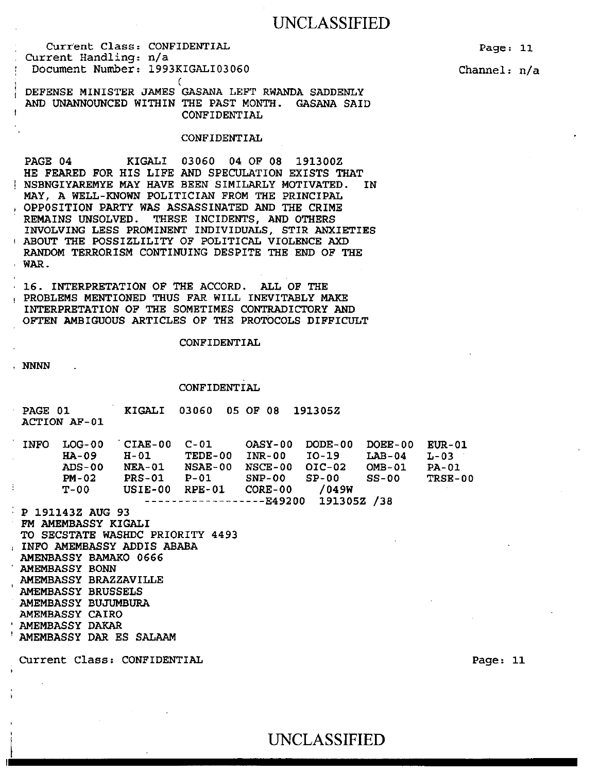Current Class: CONFIDENTIAL Current Handling: n/a Document Number: 1993KIGALI03060 Page: 11

Channel: n/a

DEFENSE MINISTER JAMES GASANA LEFT RWANDA SADDENLY AND UNANNOUNCED WITHIN THE PAST MONTH. GASANA SAID CONFIDENTIAL

(

#### CONFIDENTIAL

PAGE 04 KIGALI 03060 04 OF 08 191300Z HE FEARED FOR HIS LIFE AND SPECULATION EXISTS THAT NSBNGIYAREMYE MAY HAVE BEEN SIMILARLY MOTIVATED. IN MAY, A WELL-KNOWN POLITICIAN FROM THE PRINCIPAL , OPPOSITION PARTY WAS ASSASSINATED AND THE CRIME REMAINS UNSOLVED. THESE INCIDENTS, AND OTHERS INVOLVING LESS PROMINENT INDIVIDUALS, STIR ANXIETIES <sup>t</sup>ABOUT THE POSSIZLILITY OF POLITICAL VIOLENCE AXD RANDOM TERRORISM CONTINUING DESPITE THE END OF THE WAR.

16. INTERPRETATION OF THE ACCORD. ALL OF THE ! PROBLEMS MENTIONED THUS FAR WILL INEVITABLY MAKE INTERPRETATION OF THE SOMETIMES CONTRADICTORY AND OFTEN AMBIGUOUS ARTICLES OF THE PROTOCOLS DIFFICULT

CONFIDENTIAL

, NNNN

#### CONFIDENTIAL

| <b>PAGE 01</b> | ACTION AF-01              |                         | KIGALI 03060 05 OF 08 191305Z |                        |                                                                                                                                           |                  |               |
|----------------|---------------------------|-------------------------|-------------------------------|------------------------|-------------------------------------------------------------------------------------------------------------------------------------------|------------------|---------------|
| TNFO.          | LOG-00<br>HA-09<br>ADS-00 | $H-01$<br><b>NEA-01</b> | TEDE-00 INR-00                | NSAE-00 NSCE-00 OIC-02 | $\overline{C}$ CIAE-00 $\overline{C}$ -01 $\overline{O}$ ASY-00 $\overline{DODE}$ -00 $\overline{DOEE}$ -00 $\overline{E}$ UR-01<br>TO-19 | LAB-04<br>OMB-01 | L-03<br>PA-01 |

NEA-01 NSAE-00 NSCE-00 PRS-01 P-Ol SNP-00 USIE-00 RPE-01 CORE-00 OIC-02 SP-00  $\boldsymbol{4}$ OMB-01 SS-00 /049W L-03 PA-01 TRSE-00

------------------E49200 191305Z /38

P 191143Z AUG 93 FM AMEMBASSY KIGALI TO SECSTATE WASHDC PRIORITY 4493 , INFO AMEMBASSY ADDIS ABABA AMENBASSY BAMAKO 0666 AMEMBASSY BONN AMEMBASSY BRAZZAVILLE AMEMBASSY BRUSSELS AMEMBASSY BUJUMBURA AMEMBASSY CAIRO AMEMBASSY DAKAR AMEMBASSY DAR ES SALAAM

PM-02 T-00

Current Class: CONFIDENTIAL Page: 11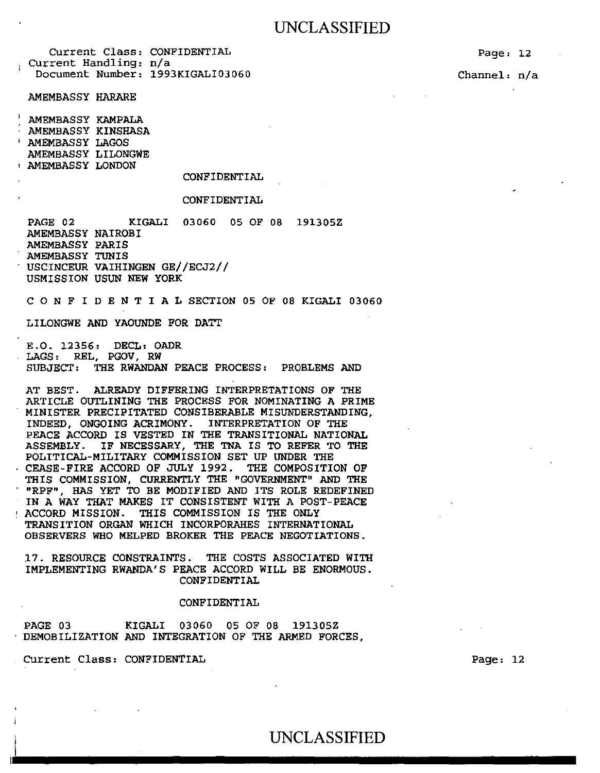Current Class: CONFIDENTIAL Current Handling: n/a Document Number: 1993KIGALI03060

AMEMBASSY HARARE

AMEMBASSY KAMPALA AMEMBASSY KINSHASA<br>AMEMBASSY LAGOS AMEMBASSY LILONGWE 1 AMEMBASSY LONDON

#### CONFIDENTIAL

#### CONFIDENTIAL

PAGE 02 KIGALI 03060 05 OF 08 191305Z AMEMBASSY NAIROBI AMEMBASSY PARIS AMEMBASSY TUNIS USCINCEUR VAIHINGEN GE//ECJ2// USMISSION USUN NEW YORK

C 0 N F I D E N T I A L SECTION 05 OF 08 KIGALI 03060

LILONGWE AND YAOUNDE FOR DATT

E.O. 12356: DECL: OADR LAGS: REL, PGOV, RW SUBJECT: THE RWANDAN PEACE PROCESS: PROBLEMS AND

AT BEST. ALREADY DIFFERING INTERPRETATIONS OF THE ARTICLE OUTLINING THE PROCESS FOR NOMINATING A PRIME MINISTER PRECIPITATED CONSIBERABLE MISUNDERSTANDING, INDEED, ONGOING ACRIMONY. INTERPRETATION OF THE PEACE ACCORD IS VESTED IN THE TRANSITIONAL NATIONAL ASSEMBLY. IF NECESSARY, THE TNA IS TO REFER TO THE POLITICAL-MILITARY COMMISSION SET UP UNDER THE CEASE-FIRE ACCORD OF JULY 1992. THE COMPOSITION OF THIS COMMISSION, CURRENTLY THE "GOVERNMENT" AND THE "RPF", HAS YET TO BE MODIFIED AND ITS ROLE REDEFINED IN A WAY THAT MAKES IT CONSISTENT WITH A POST-PEACE ' ACCORD MISSION. THIS COMMISSION IS THE ONLY TRANSITION ORGAN WHICH INCORPORAHES INTERNATIONAL OBSERVERS WHO MELPED BROKER THE PEACE NEGOTIATIONS.

17. RESOURCE CONSTRAINTS. THE COSTS ASSOCIATED WITH IMPLEMENTING RWANDA'S PEACE ACCORD WILL BE ENORMOUS. CONFIDENTIAL

#### CONFIDENTIAL

PAGE 03 KIGALI 03060 05 OF 08 191305Z DEMOBILIZATION AND INTEGRATION OF THE ARMED FORCES,

Current Class: CONFIDENTIAL

Page: 12

Page: 12

Channel: n/a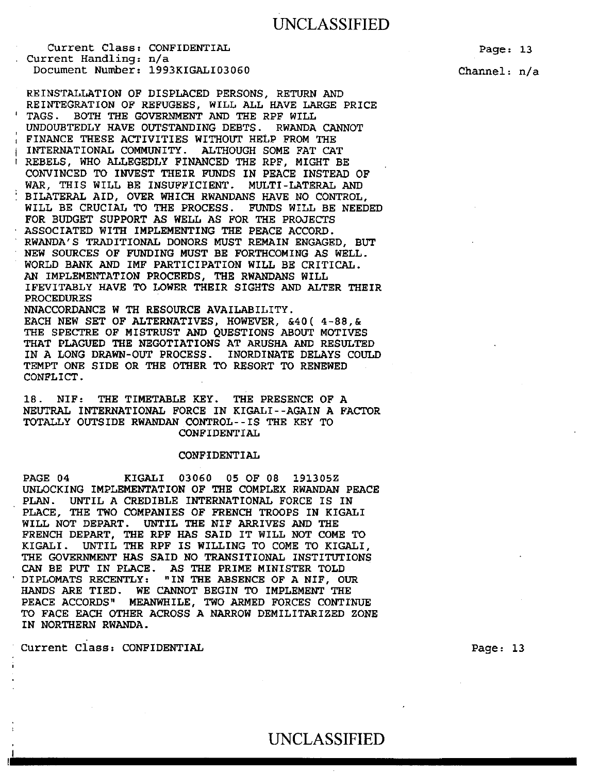Current Class: CONFIDENTIAL Current Handling: n/a Document Number: 1993KIGALI03060

REINSTALLATION OF DISPLACED PERSONS, RETURN AND REINTEGRATION OF REFUGEES, WILL ALL HAVE LARGE PRICE TAGS. BOTH THE GOVERNMENT AND THE RPF WILL UNDOUBTEDLY HAVE OUTSTANDING DEBTS. RWANDA CANNOT FINANCE THESE ACTIVITIES WITHOUT HELP FROM THE INTERNATIONAL COMMUNITY. ALTHOUGH SOME FAT CAT REBELS, WHO ALLEGEDLY FINANCED THE RPF, MIGHT BE CONVINCED TO INVEST THEIR FUNDS IN PEACE INSTEAD OF WAR, THIS WILL BE INSUFFICIENT. MULTI-LATERAL AND BILATERAL AID, OVER WHICH RWANDANS HAVE NO CONTROL, WILL BE CRUCIAL TO THE PROCESS. FUNDS WILL BE NEEDED FOR BUDGET SUPPORT AS WELL AS FOR THE PROJECTS ASSOCIATED WITH IMPLEMENTING THE PEACE ACCORD. RWANDA'S TRADITIONAL DONORS MUST REMAIN ENGAGED, BUT NEW SOURCES OF FUNDING MUST BE FORTHCOMING AS WELL. WORLD BANK AND IMF PARTICIPATION WILL BE CRITICAL. AN IMPLEMENTATION PROCEEDS, THE RWANDANS WILL IFEVITABLY HAVE TO LOWER THEIR SIGHTS AND ALTER THEIR PROCEDURES NNACCORDANCE W TH RESOURCE AVAILABILITY. EACH NEW SET OF ALTERNATIVES, HOWEVER, &40( 4-88,&

THE SPECTRE OF MISTRUST AND QUESTIONS ABOUT MOTIVES THAT PLAGUED THE NEGOTIATIONS AT ARUSHA AND RESULTED IN A LONG DRAWN-OUT PROCESS. INORDINATE DELAYS COULD TEMPT ONE SIDE OR THE OTHER TO RESORT TO RENEWED CONFLICT.

18. NIF: THE TIMETABLE KEY. THE PRESENCE OF A NEUTRAL INTERNATIONAL FORCE IN KIGALI--AGAIN A FACTOR TOTALLY OUTSIDE RWANDAN CONTROL--IS THE KEY TO CONFIDENTIAL

#### CONFIDENTIAL

PAGE 04 KIGALI 03060 05 OF 08 191305Z UNLOCKING IMPLEMENTATION OF THE COMPLEX RWANDAN PEACE PLAN. UNTIL A CREDIBLE INTERNATIONAL FORCE IS IN PLACE, THE TWO COMPANIES OF FRENCH TROOPS IN KIGALI WILL NOT DEPART. UNTIL THE NIF ARRIVES AND THE FRENCH DEPART, THE RPF HAS SAID IT WILL NOT COME TO KIGALI. UNTIL THE RPF IS WILLING TO COME TO KIGALI, THE GOVERNMENT HAS SAID NO TRANSITIONAL INSTITUTIONS CAN BE PUT IN PLACE. AS THE PRIME MINISTER TOLD DIPLOMATS RECENTLY: "IN THE ABSENCE OF A NIF, OUR HANDS ARE TIED. WE CANNOT BEGIN TO IMPLEMENT THE PEACE ACCORDS" MEANWHILE, TWO ARMED FORCES CONTINUE TO FACE EACH OTHER ACROSS A NARROW DEMILITARIZED ZONE IN NORTHERN RWANDA.

Current Class: CONFIDENTIAL

Channel: n/a

# UNCLASSIFIED UNCLASSIFIED

Page: 13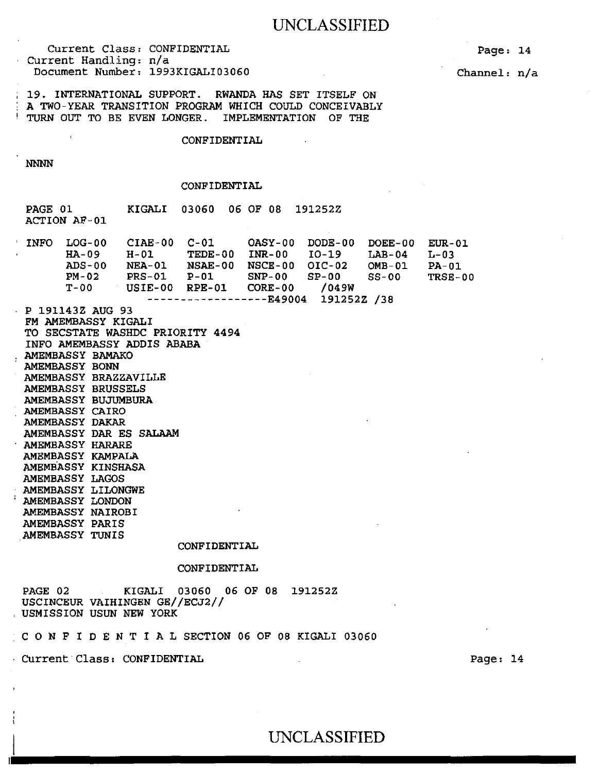Current Class: CONFIDENTIAL Current Handling: n/a Document Number: 1993KIGALI03060

Page: 14

Channel: n/a

19. INTERNATIONAL SUPPORT. RWANDA HAS SET ITSELF ON A TWO-YEAR TRANSITION PROGRAM WHICH COULD CONCEIVABLY TURN OUT TO BE EVEN LONGER. IMPLEMENTATION OF THE

#### CONFIDENTIAL

NNNN

#### CONFIDENTIAL

PAGE 01 ACTION AF-01 KIGALI 03060 06 OF 08 191252Z

| <b>INFO</b> | $LOG-00$         | $CIAE-00$     | C-01           | OASY-00                  | $DODE-00$   | $DOEE-00$ | $EUR-01$ |
|-------------|------------------|---------------|----------------|--------------------------|-------------|-----------|----------|
|             | $HA-09$          | H-01          | TEDE-00        | $INR-00$                 | $TO-19$     | $LAB-04$  | $L-03$   |
|             | $ADS-00$         | <b>NEA-01</b> | <b>NSAE-00</b> | NSCE-00                  | $OIC-02$    | OMB-01    | $PA-01$  |
|             | $PM-02$          | $PRS-01$      | $P-01$         | $SNP-00$                 | $SP-00$     | $SS-00$   | TRSE-00  |
|             | $T - 0.0$        | USIE-00       | $RPE-01$       | $CORE-00$                | /049W       |           |          |
|             |                  |               |                | ------------------R49004 | 191252Z /38 |           |          |
|             | P 191143Z AUG 93 |               |                |                          |             |           |          |

FM AMEMBASSY KIGALI TO SECSTATE WASHDC PRIORITY 4494 INFO AMEMBASSY ADDIS ABABA AMEMBASSY BAMAKO AMEMBASSY BONN AMEMBASSY BRAZZAVILLE AMEMBASSY BRUSSELS AMEMBASSY BUJUMBURA AMEMBASSY CAIRO AMEMBASSY DAKAR AMEMBASSY DAR ES SALAAM AMEMBASSY HARARE AMEMBASSY KAMPALA AMEMBASSY KINSHASA AMEMBASSY LAGOS AMEMBASSY LILONGWE AMEMBASSY LONDON AMEMBASSY NAIROBI AMEMBASSY PARIS .AMEMBASSY TUNIS

#### CONFIDENTIAL

#### CONFIDENTIAL

UNCLASSIFIED

PAGE 02 KIGALI 03060 06 OF 08 191252Z USCINCEUR VAIHINGEN GE//ECJ2// USMISSION USUN NEW YORK

C 0 N F I D E N T I A L SECTION 06 OF 08 KIGALI 03060

Current·Class: CONFIDENTIAL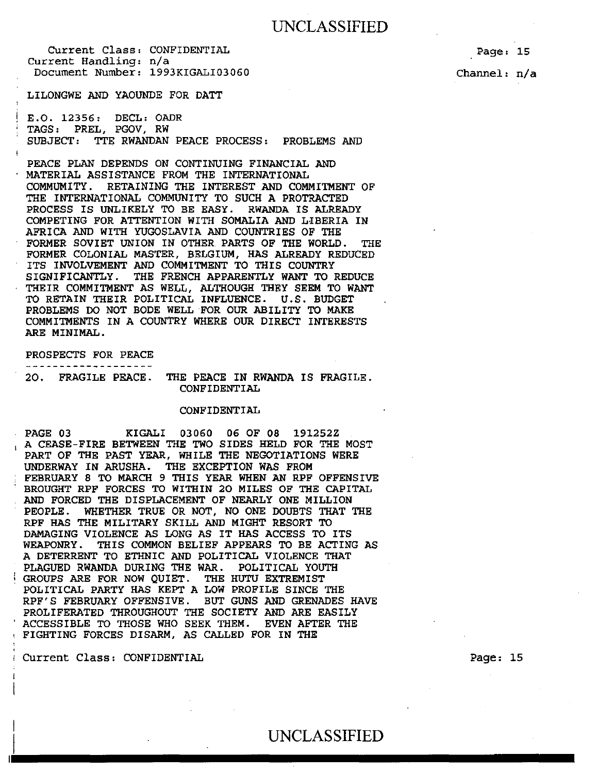LILONGWE AND YAOUNDE FOR DATT

E.O. 12356: DECL: OADR 1 TAGS: PREL, PGOV, RW SUBJECT: TTE RWANDAN PEACE PROCESS : PROBLEMS AND

PEACE PLAN DEPENDS ON CONTINUING FINANCIAL AND MATERIAL ASSISTANCE FROM THE INTERNATIONAL COMMUMITY. RETAINING THE INTEREST AND COMMITMENT OF THE INTERNATIONAL COMMUNITY TO SUCH A PROTRACTED<br>PROCESS IS UNLIKELY TO BE EASY. RWANDA IS ALREADY PROCESS IS UNLIKELY TO BE EASY. COMPETING FOR ATTENTION WITH SOMALIA AND LIBERIA IN AFRICA AND WITH YUGOSLAVIA AND COUNTRIES OF THE FORMER SOVIET UNION IN OTHER PARTS OF THE WORLD. THE FORMER COLONIAL MASTER, BELGIUM, HAS ALREADY REDUCED ITS INVOLVEMENT AND COMMITMENT TO THIS COUNTRY SIGNIFICANTLY. THE FRENCH APPARENTLY WANT TO REDUCE THEIR COMMITMENT AS WELL, ALTHOUGH THEY SEEM TO WANT TO RETAIN THEIR POLITICAL INFLUENCE. U.S. BUDGET PROBLEMS DO NOT BODE WELL FOR OUR ABILITY TO MAKE COMMITMENTS IN A COUNTRY WHERE OUR DIRECT INTERESTS ARE MINIMAL.

PROSPECTS FOR PEACE -------------------

20. FRAGILE PEACE. THE PEACE IN RWANDA IS FRAGILE. CONFIDENTIAL

#### CONFIDENTIAL

PAGE 03 KIGALI 03060 06 OF 08 191252Z A CEASE-FIRE BETWEEN THE TWO SIDES HELD FOR THE MOST PART OF THE PAST YEAR, WHILE THE NEGOTIATIONS WERE UNDERWAY IN ARUSHA. THE EXCEPTION WAS FROM FEBRUARY 8 TO MARCH 9 THIS YEAR WHEN AN RPF OFFENSIVE BROUGHT RPF FORCES TO WITHIN 20 MILES OF THE CAPITAL AND FORCED THE DISPLACEMENT OF NEARLY ONE MILLION PEOPLE. WHETHER TRUE OR NOT, NO ONE DOUBTS THAT THE RPF HAS THE MILITARY SKILL AND MIGHT RESORT TO DAMAGING VIOLENCE AS LONG AS IT HAS ACCESS TO ITS WEAPONRY. THIS COMMON BELIEF APPEARS TO BE ACTING AS A DETERRENT TO ETHNIC AND POLITICAL VIOLENCE THAT PLAGUED RWANDA DURING THE WAR. POLITICAL YOUTH GROUPS ARE FOR NOW QUIET. THE HUTU EXTREMIST POLITICAL PARTY HAS KEPT A LOW PROFILE SINCE THE RPF' S FEBRUARY OFFENSIVE. BUT GUNS AND GRENADES HAVE PROLIFERATED THROUGHOUT THE SOCIETY AND ARE EASILY ACCESSIBLE TO THOSE WHO SEEK THEM. EVEN AFTER THE <sup>1</sup>FIGHTING FORCES DISARM, AS CALLED FOR IN THE

<sup>I</sup>Current Class: CONFIDENTIAL

Page: 15

Channel: n/a

Page: 15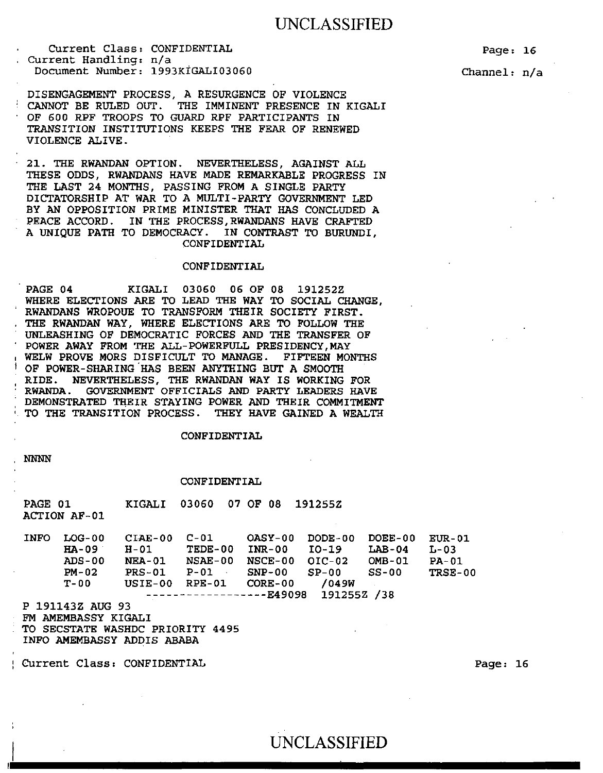Current Class: CONFIDENTIAL Current Handling: n/a Document Number: 1993KIGALI03060 Page: 16

Channel: n/a

DISENGAGEMENT PROCESS, A RESURGENCE OF VIOLENCE<br>CANNOT BE RULED OUT. THE IMMINENT PRESENCE IN THE IMMINENT PRESENCE IN KIGALI OF 600 RPF TROOPS TO GUARD RPF PARTICIPANTS IN TRANSITION INSTITUTIONS KEEPS THE FEAR OF RENEWED VIOLENCE ALIVE.

21. THE RWANDAN OPTION. NEVERTHELESS, AGAINST ALL THESE ODDS, RWANDANS HAVE MADE REMARKABLE PROGRESS IN THE LAST 24 MONTHS, PASSING FROM A SINGLE PARTY DICTATORSHIP AT WAR TO A MULTI-PARTY GOVERNMENT LED BY AN OPPOSITION PRIME MINISTER THAT HAS CONCLUDED A PEACE ACCORD. IN THE PROCESS, RWANDANS HAVE CRAFTED A UNIQUE PATH TO DEMOCRACY. IN CONTRAST TO BURUNDI, CONFIDENTIAL

### CONFIDENTIAL

PAGE 04 KIGALI 03060 06 OF 08 191252Z WHERE ELECTIONS ARE TO LEAD THE WAY TO SOCIAL CHANGE, RWANDANS WROPOUE TO TRANSFORM THEIR SOCIETY FIRST. THE RWANDAN WAY, WHERE ELECTIONS ARE TO FOLLOW THE UNLEASHING OF DEMOCRATIC FORCES AND THE TRANSFER OF POWER AWAY FROM THE ALL-POWERFULL PRESIDENCY, MAY WELW PROVE MORS DISFICULT TO MANAGE. FIFTEEN MONTHS OF POWER-SHARING HAS BEEN ANYTHING BUT A SMOOTH RIDE. NEVERTHELESS, THE RWANDAN WAY IS WORKING FOR RWANDA. GOVERNMENT OFFICIALS AND PARTY LEADERS HAVE DEMONSTRATED THEIR STAYING POWER AND THEIR COMMITMENT TO THE TRANSITION PROCESS. THEY HAVE GAINED A WEALTH

#### CONFIDENTIAL

**NNNN** 

#### CONFIDENTIAL

PAGE 01 ACTION AF-01 KIGALI 03060 07 OF 08 191255Z

INFO LOG-00 CIAE-00 C-Ol OASY-00 DODE-00 DOEE-00 EUR-01 HA-09 H-01 TEDE-00 INR-00 I0-19 ADS-00 PM-02 T-OO NEA-01 NSAE-00 NSCE-00 OIC-02 OMB-01 PRS-01 P-Ol SNP-00 USIE-00 RPE-01 CORE-00 ------------------E49098 191255Z /38 SP-00  $LAB-04$   $L-03$ SS-00 /049W PA-01 TRSE-00

P 191143Z AUG 93 FM AMEMBASSY KIGALI TO SECSTATE WASHDC PRIORITY 4495

INFO AMEMBASSY ADDIS ABABA

Current Class: CONFIDENTIAL

Page: 16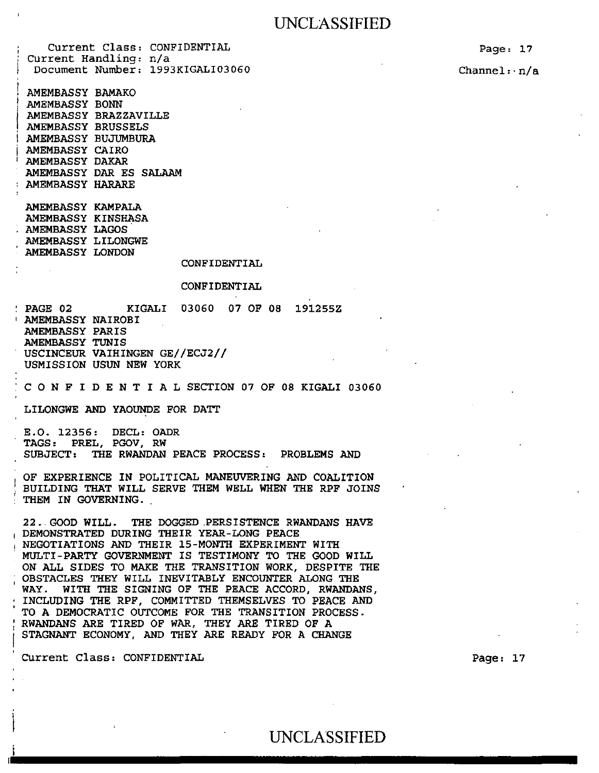Current Class: CONFIDENTIAL Current Handling: n/a Document Number: 1993KIGALI03060

AMEMBASSY BAMAKO AMEMBASSY BONN AMEMBASSY BRAZZAVILLE AMEMBASSY BRUSSELS AMEMBASSY BUJUMBURA AMEMBASSY CAIRO AMEMBASSY DAKAR AMEMBASSY DAR ES SALAAM AMEMBASSY HARARE

AMEMBASSY KAMPALA AMEMBASSY KINSHASA AMEMBASSY LAGOS AMEMBASSY LILONGWE AMEMBASSY LONDON

CONFIDENTIAL

#### CONFIDENTIAL

PAGE 02 KIGALI 03060 07 OF 08 191255Z<br>AMEMBASSY NAIROBI AMEMBASSY PARIS AMEMBASSY TUNIS USCINCEUR VAIHINGEN GE//ECJ2// USMISSION USUN NEW YORK

C 0 N F I D E N T I A L SECTION 07 OF 08 KIGALI 03060

LILONGWE AND YAOUNDE FOR DATT

E.O. 12356: DECL: OADR TAGS: PREL, PGOV, RW SUBJECT: THE RWANDAN PEACE PROCESS: PROBLEMS AND

OF EXPERIENCE IN POLITICAL MANEUVERING AND COALITION BUILDING THAT WILL SERVE THEM WELL WHEN THE RPF JOINS THEM IN GOVERNING.

22 .. GOOD WILL. THE DOGGED .PERSISTENCE RWANDANS HAVE DEMONSTRATED DURING THEIR YEAR-LONG PEACE<br>NEGOTIATIONS AND THEIR 15-MONTH EXPERIMENT WITH MULTI-PARTY GOVERNMENT IS TESTIMONY TO THE GOOD WILL ON ALL SIDES TO MAKE THE TRANSITION WORK, DESPITE THE OBSTACLES THEY WILL INEVITABLY ENCOUNTER ALONG THE WAY. WITH THE SIGNING OF THE PEACE ACCORD, RWANDANS, INCLUDING THE RPF, COMMITTED THEMSELVES TO PEACE AND TO A DEMOCRATIC OUTCOME FOR THE TRANSITION PROCESS. : RWANDANS ARE TIRED OF WAR, THEY ARE TIRED OF A STAGNANT ECONOMY, AND THEY ARE READY FOR A CHANGE

' CUrrent Class: CONFIDENTIAL

Page: 17

Channel:· n/a

Page: 17

# UNCLASSIFIED UNCLASSIFIED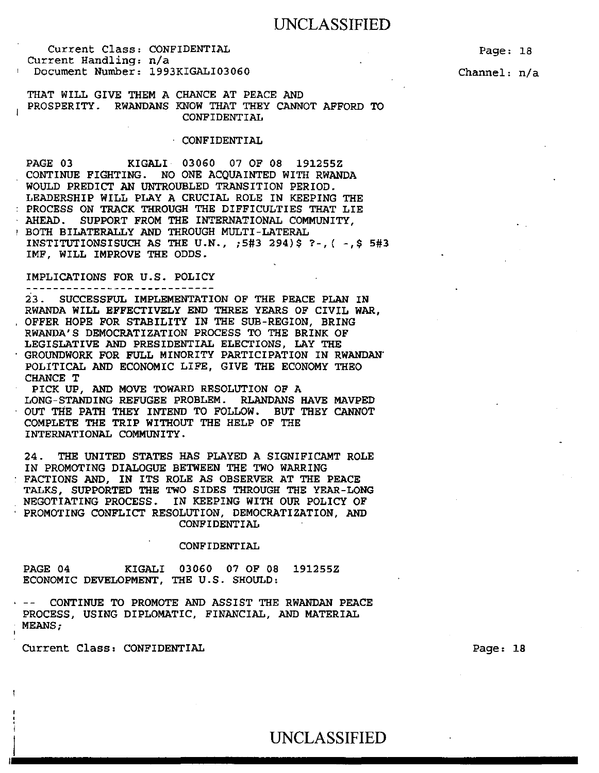Current Class: CONFIDENTIAL Current Handling: n/a Document Number: 1993KIGALI03060

Page: 18

Channel: n/a

THAT WILL GIVE THEM A CHANCE AT PEACE AND PROSPERITY. RWANDANS KNOW THAT THEY CANNOT AFFORD TO CONFIDENTIAL

#### CONFIDENTIAL

PAGE 03 KIGALI 03060 07 OF 08 191255Z CONTINUE FIGHTING. NO ONE ACQUAINTED WITH RWANDA WOULD PREDICT AN UNTROUBLED TRANSITION PERIOD. LEADERSHIP WILL PLAY A CRUCIAL ROLE IN KEEPING THE PROCESS ON TRACK THROUGH THE DIFFICULTIES THAT LIE AHEAD. SUPPORT FROM THE INTERNATIONAL COMMUNITY, 1 BOTH BILATERALLY AND THROUGH MULTI-LATERAL INSTITUTIONSISUCH AS THE U.N., ;5#3 294)\$ ?-, ( -,\$ 5#3 IMF, WILL IMPROVE THE ODDS.

### IMPLICATIONS FOR U.S. POLICY

23. SUCCESSFUL IMPLEMENTATION OF THE PEACE PLAN IN RWANDA WILL EFFECTIVELY END THREE YEARS OF CIVIL WAR, OFFER HOPE FOR STABILITY IN THE SUB-REGION, BRING RWANDA'S DEMOCRATIZATION PROCESS TO THE BRINK OF LEGISLATIVE AND PRESIDENTIAL ELECTIONS, LAY THE GROUNDWORK FOR FULL MINORITY PARTICIPATION IN RWANDAN" POLITICAL AND ECONOMIC LIFE, GIVE THE ECONOMY THEO CHANCE T

PICK UP, AND MOVE TOWARD RESOLUTION OF A LONG-STANDING REFUGEE PROBLEM. RLANDANS HAVE MAVPED OUT THE PATH THEY INTEND TO FOLLOW. BUT THEY CANNOT COMPLETE THE TRIP WITHOUT THE HELP OF THE INTERNATIONAL COMMUNITY.

24. THE UNITED STATES HAS PLAYED A SIGNIFICAMT ROLE IN PROMOTING DIALOGUE BETWEEN THE TWO WARRING FACTIONS AND, IN ITS ROLE AS OBSERVER AT THE PEACE TALKS, SUPPORTED THE TWO SIDES THROUGH THE YEAR-LONG NEGOTIATING PROCESS. IN KEEPING WITH OUR POLICY OF PROMOTING CONFLICT RESOLUTION, DEMOCRATIZATION, AND CONFIDENTIAL

#### CONFIDENTIAL

PAGE 04 KIGALI 03060 07 OF 08 191255Z ECONOMIC DEVELOPMENT, THE U.S. SHOULD:

CONTINUE TO PROMOTE AND ASSIST THE RWANDAN PEACE PROCESS, USING DIPLOMATIC, FINANCIAL, AND MATERIAL MEANS;

Current Class: CONFIDENTIAL

Page: 18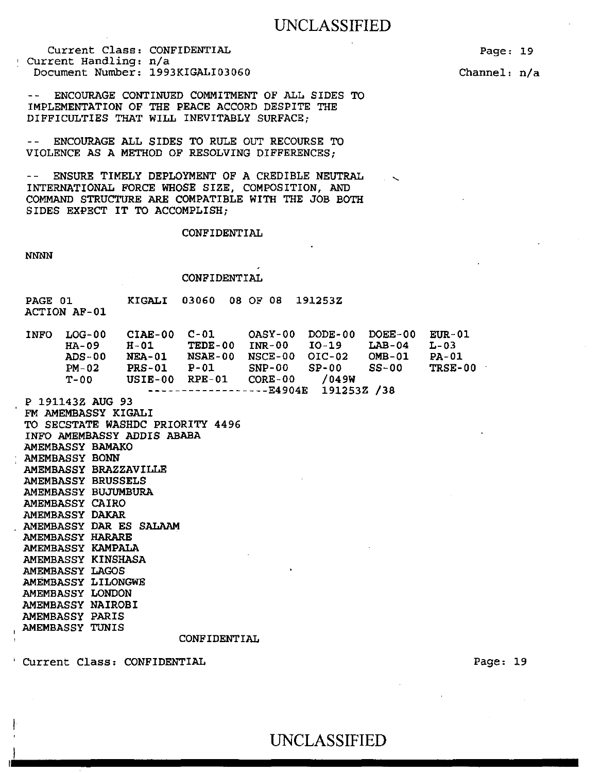Current Class: CONFIDENTIAL Current Handling: n/a Document Number: 1993KIGALI03060 Page: 19

Channel: n/a

ENCOURAGE CONTINUED COMMITMENT OF ALL SIDES TO IMPLEMENTATION OF THE PEACE ACCORD DESPITE THE DIFFICULTIES THAT WILL INEVITABLY SURFACE;

ENCOURAGE ALL SIDES TO RULE OUT RECOURSE TO  $\sim$   $\sim$   $^{-1}$ VIOLENCE AS A METHOD OF RESOLVING DIFFERENCES;

-- ENSURE TIMELY DEPLOYMENT OF A CREDIBLE NEUTRAL INTERNATIONAL FORCE WHOSE SIZE, COMPOSITION, AND COMMAND STRUCTURE ARE COMPATIBLE WITH THE JOB BOTH SIDES EXPECT IT TO ACCOMPLISH;

CONFIDENTIAL

NNNN

CONFIDENTIAL

| PAGE 01             |  | KIGALI 03060 08 OF 08 191253Z |  |
|---------------------|--|-------------------------------|--|
| <b>ACTION AF-01</b> |  |                               |  |

| <b>INFO</b> | LOG-00  | $CIAE-00$     | $C-01$  |                                  | $OASY-00$ DODE-00 | DOEE-00 | <b>EUR-01</b> |
|-------------|---------|---------------|---------|----------------------------------|-------------------|---------|---------------|
|             | $HA-09$ | H-01          | TEDE-00 | <b>INR-00 IO-19</b>              |                   | LAB-04  | L-03          |
|             | ADS-00  | <b>NEA-01</b> | NSAE-00 | $NSCE-00$ $OIC-02$               |                   | OMB-01  | <b>PA-01</b>  |
|             | $PM-02$ | $PRS-01$      | $P-01$  | $SNP-00$ $SP-00$                 |                   | SS-00   | TRSE-00       |
|             | T-00    | USIE-00       | RPE-01  | $CORE-00$                        | /049W             |         |               |
|             |         |               |         | $------------E4904E$ 191253Z /38 |                   |         |               |

P 191143Z AUG 93 FM AMEMBASSY KIGALI TO SECSTATE WASHDC PRIORITY 4496 INFO AMEMBASSY ADDIS ABABA AMEMBASSY BAMAKO AMEMBASSY BONN AMEMBASSY BRAZZAVILLE AMEMBASSY BRUSSELS AMEMBASSY BUJUMBURA AMEMBASSY CAIRO AMEMBASSY DAKAR AMEMBASSY DAR ES SALAAM AMEMBASSY HARARE AMEMBASSY KAMPALA AMEMBASSY KINSHASA AMEMBASSY LAGOS AMEMBASSY LILONGWE AMEMBASSY LONDON AMEMBASSY NAIROBI AMEMBASSY PARIS AMEMBASSY TUNIS

CONFIDENTIAL

Current Class: CONFIDENTIAL

 $\vert \cdot \vert$